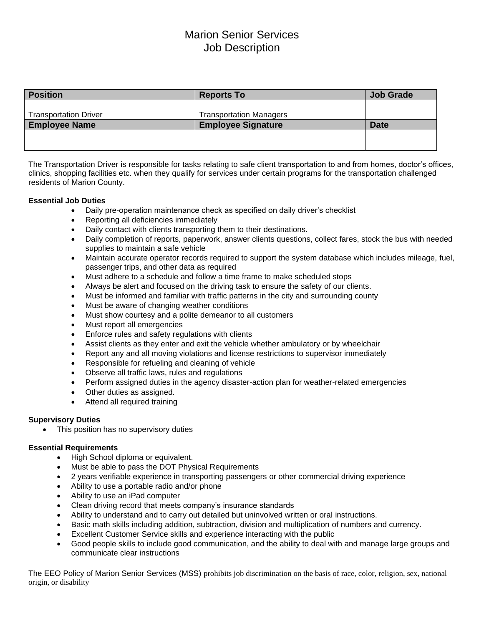# Marion Senior Services Job Description

| <b>Position</b>              | <b>Reports To</b>              | <b>Job Grade</b> |
|------------------------------|--------------------------------|------------------|
|                              |                                |                  |
| <b>Transportation Driver</b> | <b>Transportation Managers</b> |                  |
| <b>Employee Name</b>         | <b>Employee Signature</b>      | <b>Date</b>      |
|                              |                                |                  |
|                              |                                |                  |

The Transportation Driver is responsible for tasks relating to safe client transportation to and from homes, doctor's offices, clinics, shopping facilities etc. when they qualify for services under certain programs for the transportation challenged residents of Marion County.

## **Essential Job Duties**

- Daily pre-operation maintenance check as specified on daily driver's checklist
- Reporting all deficiencies immediately
- Daily contact with clients transporting them to their destinations.
- Daily completion of reports, paperwork, answer clients questions, collect fares, stock the bus with needed supplies to maintain a safe vehicle
- Maintain accurate operator records required to support the system database which includes mileage, fuel, passenger trips, and other data as required
- Must adhere to a schedule and follow a time frame to make scheduled stops
- Always be alert and focused on the driving task to ensure the safety of our clients.
- Must be informed and familiar with traffic patterns in the city and surrounding county
- Must be aware of changing weather conditions
- Must show courtesy and a polite demeanor to all customers
- Must report all emergencies
- Enforce rules and safety regulations with clients
- Assist clients as they enter and exit the vehicle whether ambulatory or by wheelchair
- Report any and all moving violations and license restrictions to supervisor immediately
- Responsible for refueling and cleaning of vehicle
- Observe all traffic laws, rules and regulations
- Perform assigned duties in the agency disaster-action plan for weather-related emergencies
- Other duties as assigned.
- Attend all required training

#### **Supervisory Duties**

• This position has no supervisory duties

## **Essential Requirements**

- High School diploma or equivalent.
- Must be able to pass the DOT Physical Requirements
- 2 years verifiable experience in transporting passengers or other commercial driving experience
- Ability to use a portable radio and/or phone
- Ability to use an iPad computer
- Clean driving record that meets company's insurance standards
- Ability to understand and to carry out detailed but uninvolved written or oral instructions.
- Basic math skills including addition, subtraction, division and multiplication of numbers and currency.
- Excellent Customer Service skills and experience interacting with the public
- Good people skills to include good communication, and the ability to deal with and manage large groups and communicate clear instructions

The EEO Policy of Marion Senior Services (MSS) prohibits job discrimination on the basis of race, color, religion, sex, national origin, or disability